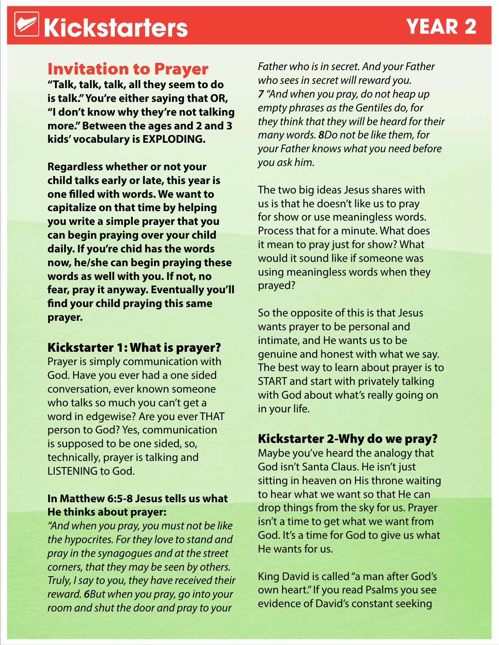# **Kickstarters YEAR 2**

## Invitation to Prayer

**"Talk, talk, talk, all they seem to do is talk." You're either saying that OR, "I don't know why they're not talking more." Between the ages and 2 and 3 kids' vocabulary is EXPLODING.** 

**Regardless whether or not your child talks early or late, this year is one filled with words. We want to capitalize on that time by helping you write a simple prayer that you can begin praying over your child daily. If you're chid has the words now, he/she can begin praying these words as well with you. If not, no fear, pray it anyway. Eventually you'll find your child praying this same prayer.**

#### Kickstarter 1: What is prayer?

Prayer is simply communication with God. Have you ever had a one sided conversation, ever known someone who talks so much you can't get a word in edgewise? Are you ever THAT person to God? Yes, communication is supposed to be one sided, so, technically, prayer is talking and LISTENING to God.

#### **In Matthew 6:5-8 Jesus tells us what He thinks about prayer:**

*"And when you pray, you must not be like the hypocrites. For they love to stand and pray in the synagogues and at the street corners, that they may be seen by others. Truly, I say to you, they have received their reward. 6But when you pray, go into your room and shut the door and pray to your* 

*Father who is in secret. And your Father who sees in secret will reward you. 7 "And when you pray, do not heap up empty phrases as the Gentiles do, for they think that they will be heard for their many words. 8Do not be like them, for your Father knows what you need before you ask him.* 

The two big ideas Jesus shares with us is that he doesn't like us to pray for show or use meaningless words. Process that for a minute. What does it mean to pray just for show? What would it sound like if someone was using meaningless words when they prayed?

So the opposite of this is that Jesus wants prayer to be personal and intimate, and He wants us to be genuine and honest with what we say. The best way to learn about prayer is to START and start with privately talking with God about what's really going on in your life.

### Kickstarter 2-Why do we pray?

Maybe you've heard the analogy that God isn't Santa Claus. He isn't just sitting in heaven on His throne waiting to hear what we want so that He can drop things from the sky for us. Prayer isn't a time to get what we want from God. It's a time for God to give us what He wants for us.

King David is called "a man after God's own heart." If you read Psalms you see evidence of David's constant seeking